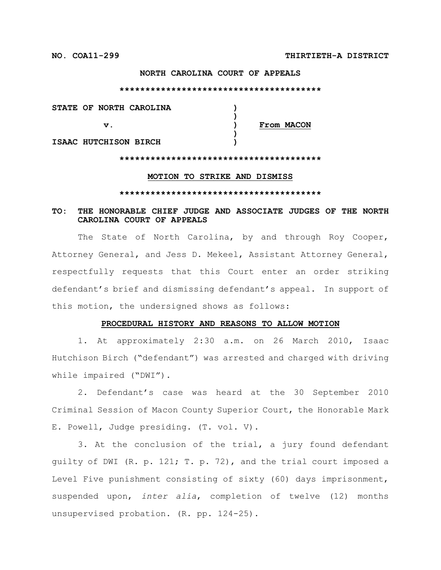### **NORTH CAROLINA COURT OF APPEALS**

#### **\*\*\*\*\*\*\*\*\*\*\*\*\*\*\*\*\*\*\*\*\*\*\*\*\*\*\*\*\*\*\*\*\*\*\*\*\*\*\***

| STATE OF NORTH CAROLINA |            |
|-------------------------|------------|
|                         |            |
| v.                      | From MACON |
|                         |            |
| ISAAC HUTCHISON BIRCH   |            |

### **\*\*\*\*\*\*\*\*\*\*\*\*\*\*\*\*\*\*\*\*\*\*\*\*\*\*\*\*\*\*\*\*\*\*\*\*\*\*\***

### **MOTION TO STRIKE AND DISMISS**

### **\*\*\*\*\*\*\*\*\*\*\*\*\*\*\*\*\*\*\*\*\*\*\*\*\*\*\*\*\*\*\*\*\*\*\*\*\*\*\***

### **TO: THE HONORABLE CHIEF JUDGE AND ASSOCIATE JUDGES OF THE NORTH CAROLINA COURT OF APPEALS**

The State of North Carolina, by and through Roy Cooper, Attorney General, and Jess D. Mekeel, Assistant Attorney General, respectfully requests that this Court enter an order striking defendant's brief and dismissing defendant's appeal. In support of this motion, the undersigned shows as follows:

### **PROCEDURAL HISTORY AND REASONS TO ALLOW MOTION**

1. At approximately 2:30 a.m. on 26 March 2010, Isaac Hutchison Birch ("defendant") was arrested and charged with driving while impaired ("DWI").

2. Defendant's case was heard at the 30 September 2010 Criminal Session of Macon County Superior Court, the Honorable Mark E. Powell, Judge presiding. (T. vol. V).

3. At the conclusion of the trial, a jury found defendant guilty of DWI (R. p. 121; T. p. 72), and the trial court imposed a Level Five punishment consisting of sixty (60) days imprisonment, suspended upon, *inter alia*, completion of twelve (12) months unsupervised probation. (R. pp. 124-25).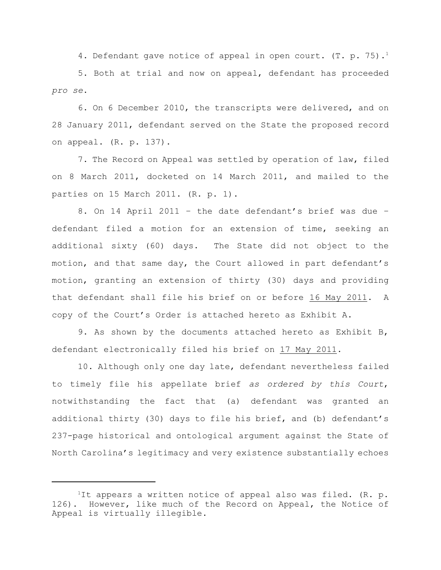4. Defendant gave notice of appeal in open court. (T. p. 75).<sup>1</sup>

5. Both at trial and now on appeal, defendant has proceeded *pro se*.

6. On 6 December 2010, the transcripts were delivered, and on 28 January 2011, defendant served on the State the proposed record on appeal. (R. p. 137).

7. The Record on Appeal was settled by operation of law, filed on 8 March 2011, docketed on 14 March 2011, and mailed to the parties on 15 March 2011. (R. p. 1).

8. On 14 April 2011 – the date defendant's brief was due – defendant filed a motion for an extension of time, seeking an additional sixty (60) days. The State did not object to the motion, and that same day, the Court allowed in part defendant's motion, granting an extension of thirty (30) days and providing that defendant shall file his brief on or before 16 May 2011. A copy of the Court's Order is attached hereto as Exhibit A.

9. As shown by the documents attached hereto as Exhibit B, defendant electronically filed his brief on 17 May 2011.

10. Although only one day late, defendant nevertheless failed to timely file his appellate brief *as ordered by this Court*, notwithstanding the fact that (a) defendant was granted an additional thirty (30) days to file his brief, and (b) defendant's 237-page historical and ontological argument against the State of North Carolina's legitimacy and very existence substantially echoes

<sup>&</sup>lt;sup>1</sup>It appears a written notice of appeal also was filed. (R. p. 126). However, like much of the Record on Appeal, the Notice of Appeal is virtually illegible.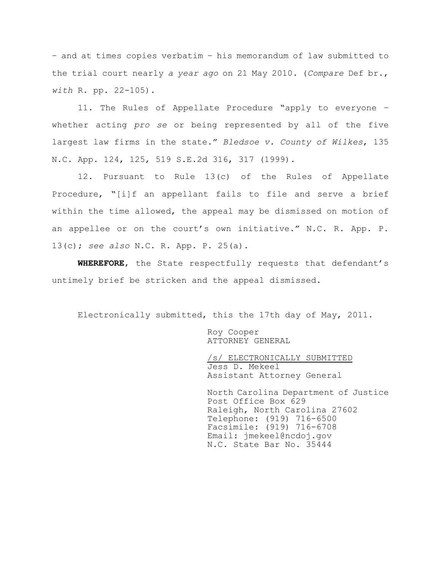– and at times copies verbatim – his memorandum of law submitted to the trial court nearly *a year ago* on 21 May 2010. (*Compare* Def br., *with* R. pp. 22-105).

11. The Rules of Appellate Procedure "apply to everyone – whether acting *pro se* or being represented by all of the five largest law firms in the state." *Bledsoe v. County of Wilkes*, 135 N.C. App. 124, 125, 519 S.E.2d 316, 317 (1999).

12. Pursuant to Rule 13(c) of the Rules of Appellate Procedure, "[i]f an appellant fails to file and serve a brief within the time allowed, the appeal may be dismissed on motion of an appellee or on the court's own initiative." N.C. R. App. P. 13(c); *see also* N.C. R. App. P. 25(a).

**WHEREFORE**, the State respectfully requests that defendant's untimely brief be stricken and the appeal dismissed.

Electronically submitted, this the 17th day of May, 2011.

Roy Cooper ATTORNEY GENERAL

/s/ ELECTRONICALLY SUBMITTED Jess D. Mekeel Assistant Attorney General

North Carolina Department of Justice Post Office Box 629 Raleigh, North Carolina 27602 Telephone: (919) 716-6500 Facsimile: (919) 716-6708 Email: jmekeel@ncdoj.gov N.C. State Bar No. 35444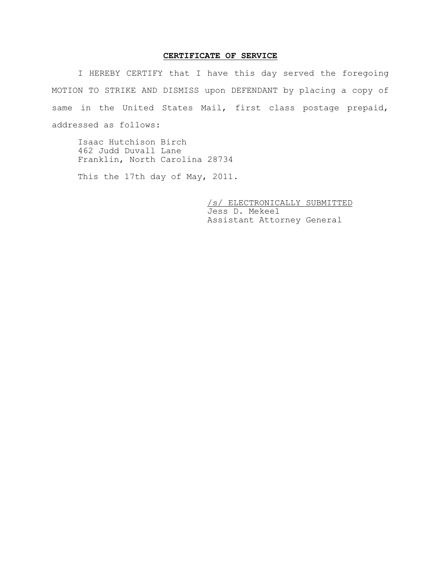### **CERTIFICATE OF SERVICE**

I HEREBY CERTIFY that I have this day served the foregoing MOTION TO STRIKE AND DISMISS upon DEFENDANT by placing a copy of same in the United States Mail, first class postage prepaid, addressed as follows:

Isaac Hutchison Birch 462 Judd Duvall Lane Franklin, North Carolina 28734

This the 17th day of May, 2011.

/s/ ELECTRONICALLY SUBMITTED Jess D. Mekeel Assistant Attorney General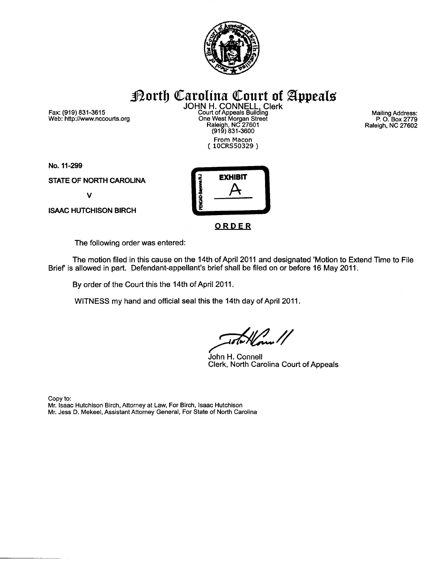

Fax: (919) 831-3615 Web: http://www.nccourts.org

**Porth Carolina Court of Appeals**<br>JOHN H. CONNELL, Clerk<br>Court of Appeals Building<br>One West Morgan Street<br>Raleigh, NC 27601<br>(919) 831-3600 From Macon<br>(10CRS50329)

**Mailing Address:** P. O. Box 2779<br>Raleigh, NC 27602

No. 11-299

STATE OF NORTH CAROLINA

 $\mathbf v$ 

**ISAAC HUTCHISON BIRCH** 



ORDER

The following order was entered:

The motion filed in this cause on the 14th of April 2011 and designated 'Motion to Extend Time to File Brief' is allowed in part. Defendant-appellant's brief shall be filed on or before 16 May 2011.

By order of the Court this the 14th of April 2011.

WITNESS my hand and official seal this the 14th day of April 2011.

John H. Connell Clerk, North Carolina Court of Appeals

Copy to: Mr. Isaac Hutchison Birch, Attorney at Law, For Birch, Isaac Hutchison Mr. Jess D. Mekeel, Assistant Attorney General, For State of North Carolina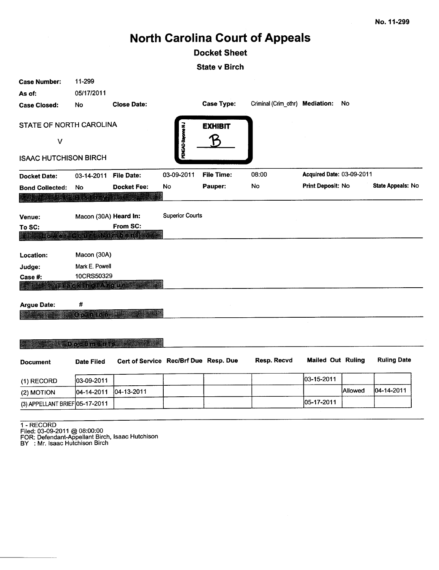# **North Carolina Court of Appeals**

### **Docket Sheet**

**State v Birch** 

| <b>Case Number:</b>                  | 11-299                |                                       |                        |                   |                                 |                           |         |                    |
|--------------------------------------|-----------------------|---------------------------------------|------------------------|-------------------|---------------------------------|---------------------------|---------|--------------------|
| As of:                               | 05/17/2011            |                                       |                        |                   |                                 |                           |         |                    |
| <b>Case Closed:</b>                  | No                    | <b>Close Date:</b>                    |                        | <b>Case Type:</b> | Criminal (Crim_othr) Mediation: |                           | No      |                    |
| STATE OF NORTH CAROLINA              |                       |                                       | PENGAD-Bayonne NJ      | <b>EXHIBIT</b>    |                                 |                           |         |                    |
| $\vee$                               |                       |                                       |                        |                   |                                 |                           |         |                    |
| <b>ISAAC HUTCHISON BIRCH</b>         |                       |                                       |                        |                   |                                 |                           |         |                    |
| <b>Docket Date:</b>                  | 03-14-2011            | <b>File Date:</b>                     | 03-09-2011             | <b>File Time:</b> | 08:00                           | Acquired Date: 03-09-2011 |         |                    |
| <b>Bond Collected:</b><br><b>BAR</b> | No<br>$\sim$ $\sim$   | <b>Docket Fee:</b>                    | No                     | Pauper:           | No                              | Print Deposit: No         |         | State Appeals: No  |
| Venue:                               | Macon (30A) Heard In: |                                       | <b>Superior Courts</b> |                   |                                 |                           |         |                    |
| To SC:                               |                       | From SC:                              |                        |                   |                                 |                           |         |                    |
|                                      |                       | <b>L'évrer CourtANdini e l'SLIE</b>   |                        |                   |                                 |                           |         |                    |
| Location:                            | Macon (30A)           |                                       |                        |                   |                                 |                           |         |                    |
| Judge:                               | Mark E. Powell        |                                       |                        |                   |                                 |                           |         |                    |
| Case #:                              | 10CRS50329            |                                       |                        |                   |                                 |                           |         |                    |
|                                      | Tracking/Arcues       |                                       |                        |                   |                                 |                           |         |                    |
| <b>Argue Date:</b>                   | #                     |                                       |                        |                   |                                 |                           |         |                    |
|                                      | Opinion and           |                                       |                        |                   |                                 |                           |         |                    |
|                                      |                       |                                       |                        |                   |                                 |                           |         |                    |
|                                      | Documents.            |                                       |                        |                   |                                 |                           |         |                    |
| <b>Document</b>                      | <b>Date Filed</b>     | Cert of Service Rec/Brf Due Resp. Due |                        |                   | Resp. Recvd                     | <b>Mailed Out Ruling</b>  |         | <b>Ruling Date</b> |
| (1) RECORD                           | 03-09-2011            |                                       |                        |                   |                                 | 03-15-2011                |         |                    |
| (2) MOTION                           | 04-14-2011            | 04-13-2011                            |                        |                   |                                 |                           | Allowed | 04-14-2011         |
| (3) APPELLANT BRIEF 05-17-2011       |                       |                                       |                        |                   |                                 | 05-17-2011                |         |                    |
|                                      |                       |                                       |                        |                   |                                 |                           |         |                    |

1 - RECORD<br>Filed: 03-09-2011 @ 08:00:00<br>FOR: Defendant-Appellant Birch, Isaac Hutchison<br>BY : Mr. Isaac Hutchison Birch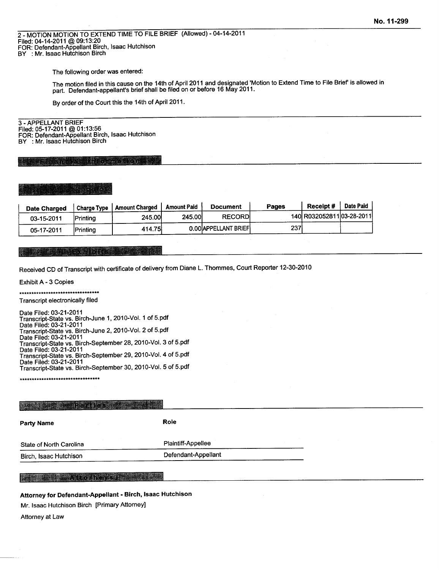2 - MOTION MOTION TO EXTEND TIME TO FILE BRIEF (Allowed) - 04-14-2011<br>Filed: 04-14-2011 @ 09:13:20 FOR: Defendant-Appellant Birch, Isaac Hutchison BY : Mr. Isaac Hutchison Birch

The following order was entered:

The motion filed in this cause on the 14th of April 2011 and designated 'Motion to Extend Time to File Brief' is allowed in part. Defendant-appellant's brief shall be filed on or before 16 May 2011.

By order of the Court this the 14th of April 2011.

3 - APPELLANT BRIEF Filed: 05-17-2011 @ 01:13:56 FOR: Defendant-Appellant Birch, Isaac Hutchison BY : Mr. Isaac Hutchison Birch

lina transfer rent.

| <b>Date Charged</b> | Charge Type      | <b>Amount Charged</b> | Amount Paid | <b>Document</b>       | Pages | Receipt#                  | Date Paid |
|---------------------|------------------|-----------------------|-------------|-----------------------|-------|---------------------------|-----------|
| 03-15-2011          | <b>Printing</b>  | 245.00                | 245.00      | <b>RECORDI</b>        |       | 140 R032052811 03-28-2011 |           |
| 05-17-2011          | <b>IPrintina</b> | 414.75                |             | 0.00 APPELLANT BRIEFI | 237   |                           |           |

### **Likabet vidibiti**ka

Received CD of Transcript with certificate of delivery from Diane L. Thommes, Court Reporter 12-30-2010

Exhibit A - 3 Copies

\*\*\*\*\*\*\*\*\*\*\*\*\*\*\*\*\*\*\*\*\*\*\*\*\*\*\*\*\*\*\*\*\*\*

Transcript electronically filed

Date Filed: 03-21-2011 Transcript-State vs. Birch-June 1, 2010-Vol. 1 of 5.pdf Date Filed: 03-21-2011 Transcript-State vs. Birch-June 2, 2010-Vol. 2 of 5.pdf<br>Date Filed: 03-21-2011 Transcript-State vs. Birch-September 28, 2010-Vol. 3 of 5.pdf Date Filed: 03-21-2011 Transcript-State vs. Birch-September 29, 2010-Vol. 4 of 5.pdf Date Filed: 03-21-2011 Transcript-State vs. Birch-September 30, 2010-Vol. 5 of 5.pdf

\*\*\*\*\*\*\*\*\*\*\*\*\*\*\*\*\*\*\*\*\*\*\*\*\*\*\*\*\*\*\*\*\*

| <b>IN Additional Detailes with</b> |                     |  |
|------------------------------------|---------------------|--|
| <b>Party Name</b>                  | Role                |  |
| State of North Carolina            | Plaintiff-Appellee  |  |
| Birch, Isaac Hutchison             | Defendant-Appellant |  |

### **The Atton eys Phillippede**

Attorney for Defendant-Appellant - Birch, Isaac Hutchison

Mr. Isaac Hutchison Birch [Primary Attorney]

Attorney at Law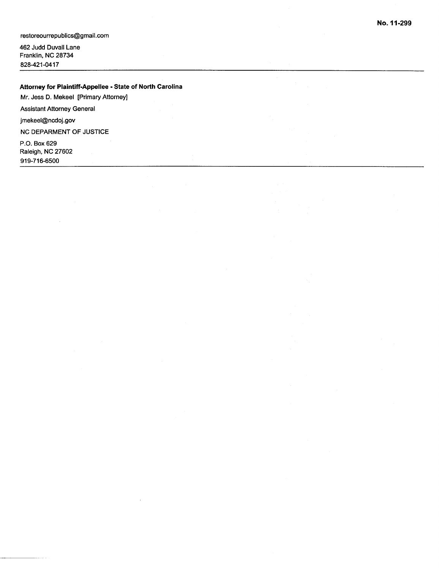restoreourrepublics@gmail.com

462 Judd Duvall Lane Franklin, NC 28734 828-421-0417

### Attorney for Plaintiff-Appellee - State of North Carolina

Mr. Jess D. Mekeel [Primary Attorney]

**Assistant Attorney General** 

jmekeel@ncdoj.gov

NC DEPARMENT OF JUSTICE

P.O. Box 629 Raleigh, NC 27602 919-716-6500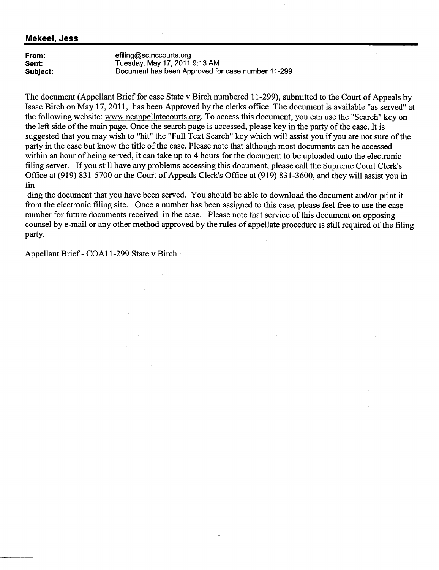### **Mekeel, Jess**

From: Sent: Subject: efiling@sc.nccourts.org Tuesday, May 17, 2011 9:13 AM Document has been Approved for case number 11-299

The document (Appellant Brief for case State v Birch numbered 11-299), submitted to the Court of Appeals by Isaac Birch on May 17, 2011, has been Approved by the clerks office. The document is available "as served" at the following website: www.ncappellatecourts.org. To access this document, you can use the "Search" key on the left side of the main page. Once the search page is accessed, please key in the party of the case. It is suggested that you may wish to "hit" the "Full Text Search" key which will assist you if you are not sure of the party in the case but know the title of the case. Please note that although most documents can be accessed within an hour of being served, it can take up to 4 hours for the document to be uploaded onto the electronic filing server. If you still have any problems accessing this document, please call the Supreme Court Clerk's Office at (919) 831-5700 or the Court of Appeals Clerk's Office at (919) 831-3600, and they will assist you in fin

ding the document that you have been served. You should be able to download the document and/or print it from the electronic filing site. Once a number has been assigned to this case, please feel free to use the case number for future documents received in the case. Please note that service of this document on opposing counsel by e-mail or any other method approved by the rules of appellate procedure is still required of the filing party.

 $\mathbf{1}$ 

Appellant Brief - COA11-299 State v Birch